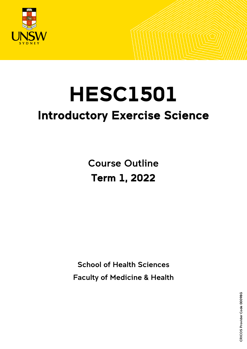

# **HESC1501** Introductory Exercise Science

Course Outline Term 1, 2022

School of Health Sciences

Faculty of Medicine & Health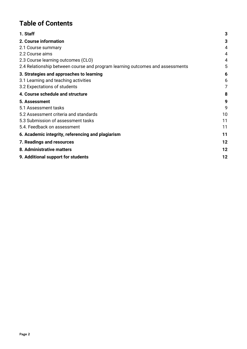# **Table of Contents**

| 1. Staff                                                                      | 3  |
|-------------------------------------------------------------------------------|----|
| 2. Course information                                                         | 3  |
| 2.1 Course summary                                                            | 4  |
| 2.2 Course aims                                                               | 4  |
| 2.3 Course learning outcomes (CLO)                                            | 4  |
| 2.4 Relationship between course and program learning outcomes and assessments | 5  |
| 3. Strategies and approaches to learning                                      | 6  |
| 3.1 Learning and teaching activities                                          | 6  |
| 3.2 Expectations of students                                                  | 7  |
| 4. Course schedule and structure                                              | 8  |
| 5. Assessment                                                                 | 9  |
| 5.1 Assessment tasks                                                          | 9  |
| 5.2 Assessment criteria and standards                                         | 10 |
| 5.3 Submission of assessment tasks                                            | 11 |
| 5.4. Feedback on assessment                                                   | 11 |
| 6. Academic integrity, referencing and plagiarism                             | 11 |
| 7. Readings and resources                                                     | 12 |
| 8. Administrative matters                                                     | 12 |
| 9. Additional support for students                                            | 12 |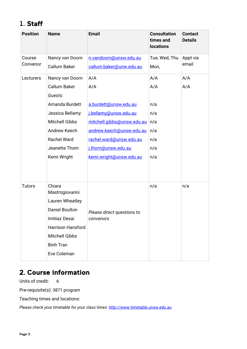# <span id="page-2-0"></span>1. Staff

| <b>Position</b> | <b>Name</b>              | <b>Email</b>               | <b>Consultation</b><br>times and<br><b>locations</b> | <b>Contact</b><br><b>Details</b> |
|-----------------|--------------------------|----------------------------|------------------------------------------------------|----------------------------------|
| Course          | Nancy van Doorn          | n.vandoorn@unsw.edu.au     | Tue, Wed, Thu                                        | Appt via                         |
| Convenor        | <b>Callum Baker</b>      | callum.baker@unw.edu.au    | Mon,                                                 | email                            |
| Lecturers       | Nancy van Doorn          | A/A                        | A/A                                                  | A/A                              |
|                 | Callum Baker             | A/A                        | A/A                                                  | A/A                              |
|                 | Guests:                  |                            |                                                      |                                  |
|                 | Amanda Burdett           | a.burdett@unsw.edu.au      | n/a                                                  |                                  |
|                 | Jessica Bellamy          | j.bellamy@unsw.edu.au      | n/a                                                  |                                  |
|                 | <b>Mitchell Gibbs</b>    | mitchell.gibbs@unsw.edu.au | n/a                                                  |                                  |
|                 | Andrew Keech             | andrew.keech@unsw.edu.au   | n/a                                                  |                                  |
|                 | <b>Rachel Ward</b>       | rachel.ward@unsw.edu.au    | n/a                                                  |                                  |
|                 | Jeanette Thom            | j.thom@unsw.edu.au         | n/a                                                  |                                  |
|                 | Kemi Wright              | kemi.wright@unsw.edu.au    | n/a                                                  |                                  |
|                 |                          |                            |                                                      |                                  |
| <b>Tutors</b>   | Chiara<br>Mastrogiovanni |                            | n/a                                                  | n/a                              |
|                 | Lauren Wheatley          |                            |                                                      |                                  |
|                 | <b>Daniel Boulton</b>    | Please direct questions to |                                                      |                                  |
|                 | Imitiaz Desai            | convenors                  |                                                      |                                  |
|                 | <b>Harrison Hansford</b> |                            |                                                      |                                  |
|                 | <b>Mitchell Gibbs</b>    |                            |                                                      |                                  |
|                 | <b>Binh Tran</b>         |                            |                                                      |                                  |
|                 | Eve Coleman              |                            |                                                      |                                  |
|                 |                          |                            |                                                      |                                  |

## <span id="page-2-1"></span>2. Course information

Units of credit: 6

Pre-requisite(s): 3871 program

Teaching times and locations:

*Please check your timetable for your class times[: http://www.timetable.unsw.edu.au](http://www.timetable.unsw.edu.au/)*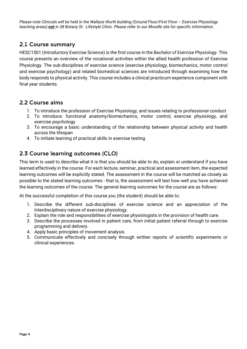*Please note Clinicals will be held in the Wallace Wurth building (Ground Floor/First Floor – Exercise Physiology teaching areas) not in 38 Botany St - Lifestyle Clinic. Please refer to our Moodle site for specific information.*

### <span id="page-3-0"></span>2.1 Course summary

HESC1501 (Introductory Exercise Science) is the first course in the *Bachelor of Exercise Physiology*. This course presents an overview of the vocational activities within the allied health profession of Exercise Physiology. The sub-disciplines of exercise science (exercise physiology, biomechanics, motor control and exercise psychology) and related biomedical sciences are introduced through examining how the body responds to physical activity. This course includes a clinical practicum experience component with final year students.

#### <span id="page-3-1"></span>2.2 Course aims

- 1. To introduce the profession of Exercise Physiology, and issues relating to professional conduct
- 2. To introduce: functional anatomy/biomechanics, motor control, exercise physiology, and exercise psychology
- 3. To encourage a basic understanding of the relationship between physical activity and health across the lifespan
- 4. To initiate learning of practical skills in exercise testing

### <span id="page-3-2"></span>2.3 Course learning outcomes (CLO)

This term is used to describe what it is that you should be able to do, explain or understand if you have learned effectively in the course. For each lecture, seminar, practical and assessment item, the expected learning outcomes will be explicitly stated. The assessment in the course will be matched as closely as possible to the stated learning outcomes - that is, the assessment will test how well you have achieved the learning outcomes of the course. The general learning outcomes for the course are as follows:

At the successful completion of this course you (the student) should be able to:

- 1. Describe the different sub-disciplines of exercise science and an appreciation of the interdisciplinary nature of exercise physiology.
- 2. Explain the role and responsibilities of exercise physiologists in the provision of health care.
- 3. Describe the processes involved in patient care, from initial patient referral through to exercise programming and delivery.
- 4. Apply basic principles of movement analysis.
- 5. Communicate effectively and concisely through written reports of scientific experiments or clinical experiences.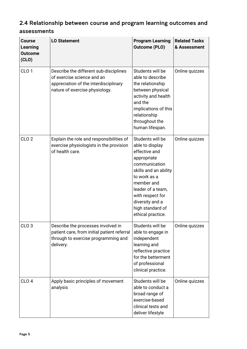## <span id="page-4-0"></span>2.4 Relationship between course and program learning outcomes and assessments

| <b>Course</b><br>Learning<br><b>Outcome</b><br>(CLO) | <b>LO Statement</b>                                                                                                                             | <b>Program Learning</b><br><b>Outcome (PLO)</b>                                                                                                                                                                                                  | <b>Related Tasks</b><br>& Assessment |
|------------------------------------------------------|-------------------------------------------------------------------------------------------------------------------------------------------------|--------------------------------------------------------------------------------------------------------------------------------------------------------------------------------------------------------------------------------------------------|--------------------------------------|
| CLO <sub>1</sub>                                     | Describe the different sub-disciplines<br>of exercise science and an<br>appreciation of the interdisciplinary<br>nature of exercise physiology. | Students will be<br>able to describe<br>the relationship<br>between physical<br>activity and health<br>and the<br>implications of this<br>relationship<br>throughout the<br>human lifespan.                                                      | Online quizzes                       |
| CLO <sub>2</sub>                                     | Explain the role and responsibilities of<br>exercise physiologists in the provision<br>of health care.                                          | Students will be<br>able to display<br>effective and<br>appropriate<br>communication<br>skills and an ability<br>to work as a<br>member and<br>leader of a team,<br>with respect for<br>diversity and a<br>high standard of<br>ethical practice. | Online quizzes                       |
| CLO <sub>3</sub>                                     | Describe the processes involved in<br>patient care, from initial patient referral<br>through to exercise programming and<br>delivery.           | Students will be<br>able to engage in<br>independent<br>learning and<br>reflective practice<br>for the betterment<br>of professional<br>clinical practice.                                                                                       | Online quizzes                       |
| CLO <sub>4</sub>                                     | Apply basic principles of movement<br>analysis                                                                                                  | Students will be<br>able to conduct a<br>broad range of<br>exercise-based<br>clinical tests and<br>deliver lifestyle                                                                                                                             | Online quizzes                       |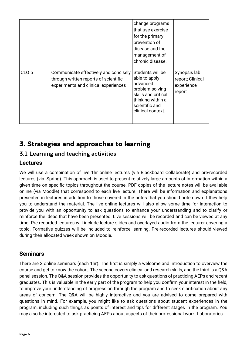|                  |                                                                                                                        | change programs<br>that use exercise<br>for the primary<br>prevention of<br>disease and the<br>management of<br>chronic disease.                    |                                                          |
|------------------|------------------------------------------------------------------------------------------------------------------------|-----------------------------------------------------------------------------------------------------------------------------------------------------|----------------------------------------------------------|
| CLO <sub>5</sub> | Communicate effectively and concisely<br>through written reports of scientific<br>experiments and clinical experiences | Students will be<br>able to apply<br>advanced<br>problem-solving<br>skills and critical<br>thinking within a<br>scientific and<br>clinical context. | Synopsis lab<br>report; Clinical<br>experience<br>report |

# <span id="page-5-0"></span>3. Strategies and approaches to learning

## <span id="page-5-1"></span>3.1 Learning and teaching activities

## **Lectures**

We will use a combination of live 1hr online lectures (via Blackboard Collaborate) and pre-recorded lectures (via iSpring). This approach is used to present relatively large amounts of information within a given time on specific topics throughout the course. PDF copies of the lecture notes will be available online (via Moodle) that correspond to each live lecture. There will be information and explanations presented in lectures in addition to those covered in the notes that you should note down if they help you to understand the material. The live online lectures will also allow some time for interaction to provide you with an opportunity to ask questions to enhance your understanding and to clarify or reinforce the ideas that have been presented. Live sessions will be recorded and can be viewed at any time. Pre-recorded lectures will include lecture slides and overlayed audio from the lecturer covering a topic. Formative quizzes will be included to reinforce learning. Pre-recorded lectures should viewed during their allocated week shown on Moodle.

### **Seminars**

There are 3 online seminars (each 1hr). The first is simply a welcome and introduction to overview the course and get to know the cohort. The second covers clinical and research skills, and the third is a Q&A panel session. The Q&A session provides the opportunity to ask questions of practicing AEPs and recent graduates. This is valuable in the early part of the program to help you confirm your interest in the field, to improve your understanding of progression through the program and to seek clarification about any areas of concern. The Q&A will be highly interactive and you are advised to come prepared with questions in mind. For example, you might like to ask questions about student experiences in the program, including such things as points of interest and tips for different stages in the program. You may also be interested to ask practicing AEPs about aspects of their professional work. Laboratories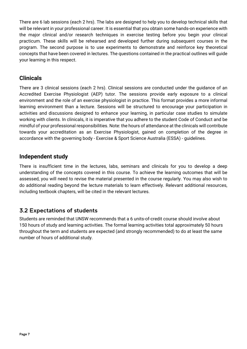There are 6 lab sessions (each 2 hrs). The labs are designed to help you to develop technical skills that will be relevant in your professional career. It is essential that you obtain some hands-on experience with the major clinical and/or research techniques in exercise testing before you begin your clinical practicum. These skills will be rehearsed and developed further during subsequent courses in the program. The second purpose is to use experiments to demonstrate and reinforce key theoretical concepts that have been covered in lectures. The questions contained in the practical outlines will guide your learning in this respect.

#### **Clinicals**

There are 3 clinical sessions (each 2 hrs). Clinical sessions are conducted under the guidance of an Accredited Exercise Physiologist (AEP) tutor. The sessions provide early exposure to a clinical environment and the role of an exercise physiologist in practice. This format provides a more informal learning environment than a lecture. Sessions will be structured to encourage your participation in activities and discussions designed to enhance your learning, in particular case studies to simulate working with clients. In clinicals, it is imperative that you adhere to the student Code of Conduct and be mindful of your professional responsibilities. Note: the hours of attendance at the clinicals will contribute towards your accreditation as an Exercise Physiologist, gained on completion of the degree in accordance with the governing body - Exercise & Sport Science Australia (ESSA) - guidelines.

#### **Independent study**

There is insufficient time in the lectures, labs, seminars and clinicals for you to develop a deep understanding of the concepts covered in this course. To achieve the learning outcomes that will be assessed, you will need to revise the material presented in the course regularly. You may also wish to do additional reading beyond the lecture materials to learn effectively. Relevant additional resources, including textbook chapters, will be cited in the relevant lectures.

### <span id="page-6-0"></span>3.2 Expectations of students

Students are reminded that UNSW recommends that a 6 units-of-credit course should involve about 150 hours of study and learning activities. The formal learning activities total approximately 50 hours throughout the term and students are expected (and strongly recommended) to do at least the same number of hours of additional study.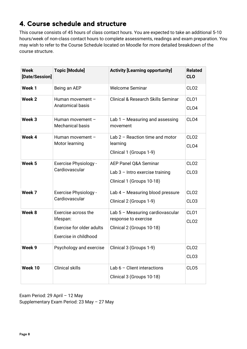## <span id="page-7-0"></span>4. Course schedule and structure

This course consists of 45 hours of class contact hours. You are expected to take an additional 5-10 hours/week of non-class contact hours to complete assessments, readings and exam preparation. You may wish to refer to the Course Schedule located on Moodle for more detailed breakdown of the course structure.

| <b>Week</b><br>[Date/Session] | <b>Topic [Module]</b>                                                                  | <b>Activity [Learning opportunity]</b>                                                  | <b>Related</b><br><b>CLO</b>         |
|-------------------------------|----------------------------------------------------------------------------------------|-----------------------------------------------------------------------------------------|--------------------------------------|
| Week 1                        | Being an AEP                                                                           | <b>Welcome Seminar</b>                                                                  | CLO <sub>2</sub>                     |
| Week 2                        | Human movement -<br>Anatomical basis                                                   | <b>Clinical &amp; Research Skills Seminar</b>                                           | CLO <sub>1</sub><br>CLO <sub>4</sub> |
| Week 3                        | Human movement -<br><b>Mechanical basis</b>                                            | Lab $1 -$ Measuring and assessing<br>movement                                           | CLO <sub>4</sub>                     |
| Week 4                        | Human movement -<br>Motor learning                                                     | Lab $2$ – Reaction time and motor<br>learning<br>Clinical 1 (Groups 1-9)                | CLO <sub>2</sub><br>CLO <sub>4</sub> |
| Week 5                        | <b>Exercise Physiology -</b><br>Cardiovascular                                         | AEP Panel Q&A Seminar<br>Lab $3$ – Intro exercise training<br>Clinical 1 (Groups 10-18) | CLO <sub>2</sub><br>CLO <sub>3</sub> |
| Week 7                        | <b>Exercise Physiology -</b><br>Cardiovascular                                         | Lab 4 - Measuring blood pressure<br>Clinical 2 (Groups 1-9)                             | CLO <sub>2</sub><br>CLO <sub>3</sub> |
| Week 8                        | Exercise across the<br>lifespan:<br>Exercise for older adults<br>Exercise in childhood | Lab 5 - Measuring cardiovascular<br>response to exercise<br>Clinical 2 (Groups 10-18)   | CL <sub>O1</sub><br>CLO <sub>2</sub> |
| Week 9                        | Psychology and exercise                                                                | Clinical 3 (Groups 1-9)                                                                 | CLO <sub>2</sub><br>CLO <sub>3</sub> |
| Week 10                       | <b>Clinical skills</b>                                                                 | Lab $6$ – Client interactions<br>Clinical 3 (Groups 10-18)                              | CLO <sub>5</sub>                     |

Exam Period: 29 April – 12 May Supplementary Exam Period: 23 May – 27 May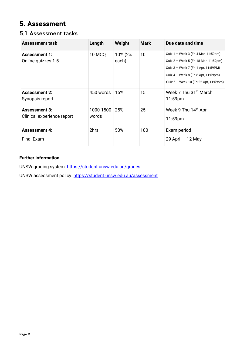# <span id="page-8-0"></span>5. Assessment

#### <span id="page-8-1"></span>5.1 Assessment tasks

| <b>Assessment task</b>                             | Length             | Weight           | <b>Mark</b> | Due date and time                                                                                                                                                                                       |
|----------------------------------------------------|--------------------|------------------|-------------|---------------------------------------------------------------------------------------------------------------------------------------------------------------------------------------------------------|
| <b>Assessment 1:</b><br>Online quizzes 1-5         | <b>10 MCQ</b>      | 10% (2%<br>each) | 10          | Quiz 1 - Week 3 (Fri 4 Mar, 11:59pm)<br>Quiz 2 - Week 5 (Fri 18 Mar, 11:59pm)<br>Quiz 3 - Week 7 (Fri 1 Apr, 11:59PM)<br>Quiz 4 - Week 8 (Fri 8 Apr, 11:59pm)<br>Quiz 5 - Week 10 (Fri 22 Apr, 11:59pm) |
| <b>Assessment 2:</b><br>Synopsis report            | 450 words          | 15%              | 15          | Week 7 Thu 31 <sup>st</sup> March<br>11:59 <sub>pm</sub>                                                                                                                                                |
| <b>Assessment 3:</b><br>Clinical experience report | 1000-1500<br>words | 25%              | 25          | Week 9 Thu 14th Apr<br>$11:59$ pm                                                                                                                                                                       |
| <b>Assessment 4:</b><br>Final Exam                 | 2hrs               | 50%              | 100         | Exam period<br>29 April - 12 May                                                                                                                                                                        |

#### **Further information**

UNSW grading system:<https://student.unsw.edu.au/grades>

UNSW assessment policy:<https://student.unsw.edu.au/assessment>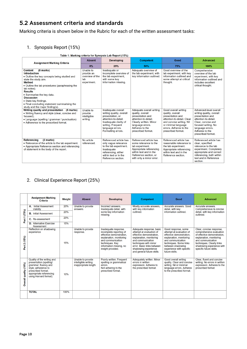## <span id="page-9-0"></span>5.2 Assessment criteria and standards

Marking criteria is shown below in the Rubric for each of the written assessment tasks:

#### 1. Synopsis Report (15%)

#### Table 1: Marking criteria for Synopsis Lab Report (15%)

| <b>Assignment Marking Criteria</b>                                                                                                                                                                                                                                                                                                                                                           | <b>Absent</b>                                                    | <b>Developing</b>                                                                                                                                                                  | <b>Competent</b>                                                                                                                                                               | Good                                                                                                                                                                                          | <b>Advanced</b>                                                                                                                                                                                         |
|----------------------------------------------------------------------------------------------------------------------------------------------------------------------------------------------------------------------------------------------------------------------------------------------------------------------------------------------------------------------------------------------|------------------------------------------------------------------|------------------------------------------------------------------------------------------------------------------------------------------------------------------------------------|--------------------------------------------------------------------------------------------------------------------------------------------------------------------------------|-----------------------------------------------------------------------------------------------------------------------------------------------------------------------------------------------|---------------------------------------------------------------------------------------------------------------------------------------------------------------------------------------------------------|
|                                                                                                                                                                                                                                                                                                                                                                                              | 0%                                                               | 25%                                                                                                                                                                                | 50%                                                                                                                                                                            | 75%                                                                                                                                                                                           | 100%                                                                                                                                                                                                    |
| (8 marks)<br><b>Content</b><br><b>Introduction</b><br>• Outline the key concepts being studied and<br>state the study aim.<br><b>Method</b><br>• Outline the lab procedures (paraphrasing the<br>lab notes).<br><b>Results</b><br>• Summarise the key data.<br><b>Discussion</b><br>• State key findings.<br>• Final concluding statement summarising the<br>study and the major finding(s). | Unable to<br>provide an<br>overview of the<br>lab<br>experiment. | Inadequate or<br>incomplete overview of<br>the lab experiment,<br>with some key<br>information missing.                                                                            | Adequate overview of<br>the lab experiment, with<br>key information outlined.                                                                                                  | Good overview of the<br>lab experiment, with key<br>information outlined and<br>some attempt at critical<br>thought.                                                                          | Comprehensive<br>overview of the lab<br>experiment, with key<br>information outlined and<br>includes excellent<br>critical thought.                                                                     |
| Writing quality and presentation (5 marks)<br>• Writing fluency and style (clear, concise and<br>focused).<br>• Language (spelling / grammar / punctuation)<br>• Adherence to the prescribed format.                                                                                                                                                                                         | Unable to<br>provide<br>intelligible<br>writing.                 | Inadequate overall<br>writing quality, overall<br>presentation, or<br>attention-to-detail.<br>Inadequate clarity of<br>writing. Frequent<br>language errors.<br>Formatting errors. | Adequate overall writing<br>quality, overall<br>presentation and<br>attention-to-detail.<br>Clearly written. Minor<br>language errors.<br>Adheres to the<br>prescribed format. | Good overall writing<br>quality, overall<br>presentation and<br>attention-to-detail. Clear<br>and concise writing. Nil<br>or minimal language<br>errors. Adheres to the<br>prescribed format. | Advanced-level overall<br>writing quality, overall<br>presentation and<br>attention-to-detail.<br>Clear, concise and<br>focused writing. No<br>language errors.<br>Adheres to the<br>prescribed format. |
| <b>Referencing</b><br>(2 marks)<br>• Relevance of the article to the lab experiment.<br>• Appropriate Reference section and referencing<br>of statement in the body of the report.                                                                                                                                                                                                           | No article<br>referenced.                                        | Referenced article has<br>only vague relevance<br>to the lab experiment.<br>Inadequate<br>referencing, either<br>within text or in the<br>Reference section.                       | Referenced article has<br>some relevance to the<br>lab experiment.<br>Appropriate referencing<br>within text and in the<br>Reference section, or<br>with only a minor error.   | Referenced article has<br>reasonable relevance to<br>the lab experiment.<br>Appropriate referencing<br>within text and in the<br>Reference section.                                           | Referenced article has<br>clear, specified<br>relevance to the lab<br>experiment. Completely<br>appropriate and correct<br>referencing, both within<br>text and in Reference<br>section.                |

#### 2. Clinical Experience Report (25%)

|                       | <b>Assignment Marking</b><br><b>Criteria</b>                                                                                                                                   | Weight | <b>Absent</b>                                                       | <b>Developing</b>                                                                                                                                                                              | <b>Competent</b>                                                                                                                                                                                                                              | Good                                                                                                                                                                                                                     | <b>Advanced</b>                                                                                                                                                                                                          |
|-----------------------|--------------------------------------------------------------------------------------------------------------------------------------------------------------------------------|--------|---------------------------------------------------------------------|------------------------------------------------------------------------------------------------------------------------------------------------------------------------------------------------|-----------------------------------------------------------------------------------------------------------------------------------------------------------------------------------------------------------------------------------------------|--------------------------------------------------------------------------------------------------------------------------------------------------------------------------------------------------------------------------|--------------------------------------------------------------------------------------------------------------------------------------------------------------------------------------------------------------------------|
|                       | <b>Initial Assessment</b><br>А.<br>Validity                                                                                                                                    | 20%    | Unable to provide<br>answers.                                       | Incorrect answers.<br>Inadequate detail, with                                                                                                                                                  | Mostly accurate answers,<br>with key information                                                                                                                                                                                              | Accurate answers, Good<br>detail, with key                                                                                                                                                                               | Accurate answers.<br>Comprehensive & concise                                                                                                                                                                             |
| (75%)                 | <b>B.</b> Initial Assessment                                                                                                                                                   | 20%    |                                                                     | some key information<br>missing.                                                                                                                                                               | outlined.                                                                                                                                                                                                                                     | information outlined.                                                                                                                                                                                                    | detail, with key information<br>outlined.                                                                                                                                                                                |
| Part <sup>:</sup>     | C. Re-assessment                                                                                                                                                               | 20%    |                                                                     |                                                                                                                                                                                                |                                                                                                                                                                                                                                               |                                                                                                                                                                                                                          |                                                                                                                                                                                                                          |
|                       | <b>D.</b> Alternative Exercise<br>Assessment                                                                                                                                   | 15%    |                                                                     |                                                                                                                                                                                                |                                                                                                                                                                                                                                               |                                                                                                                                                                                                                          |                                                                                                                                                                                                                          |
| Part 2 (15%)          | Reflection on shadowing<br>experience                                                                                                                                          | 15%    | Unable to provide<br>response.                                      | Inadequate response,<br>incomplete reporting of<br>effective demonstration.<br>explanation, monitoring<br>and communication<br>techniques. Key<br>information missing, no<br>insight provided. | Adequate response, basic<br>attempt at evaluation of<br>effective demonstration.<br>explanation, monitoring<br>and communication<br>techniques with minor<br>error. Basic links between<br>shadowing experience<br>and general future skills. | Good response, some<br>attempt at evaluation of<br>effective demonstration,<br>explanation, monitoring<br>and communication<br>techniques. Some links<br>between shadowing<br>experience with specific<br>future skills. | Clear, concise response,<br>comprehensive evaluation<br>of effective demonstration.<br>explanation, monitoring<br>and communication<br>techniques. Clearly links<br>shadowing experience with<br>specific future skills. |
| Overall quality (10%) | Quality of the writing and<br>presentation (spelling/<br>grammar; fluency and<br>style: adherence to<br>prescribed format:<br>appropriate referencing<br>using Harvard format) | 10%    | Unable to provide<br>intelligible writing.<br>inappropriate length. | Poorly written. Frequent<br>spelling or grammatical<br>errors.<br>Not adhering to the<br>prescribed format.                                                                                    | Adequately written. Minor<br>errors in written<br>expression. Adheres to<br>the prescribed format.                                                                                                                                            | Good overall writing<br>quality. Clear and concise<br>writing. Nil or minimal<br>language errors. Adheres<br>to the prescribed format.                                                                                   | Clear, fluent and concise<br>writing. No errors in written<br>expression. Adheres to the<br>prescribed format.                                                                                                           |
|                       | <b>TOTAL</b>                                                                                                                                                                   | 100%   |                                                                     |                                                                                                                                                                                                |                                                                                                                                                                                                                                               |                                                                                                                                                                                                                          |                                                                                                                                                                                                                          |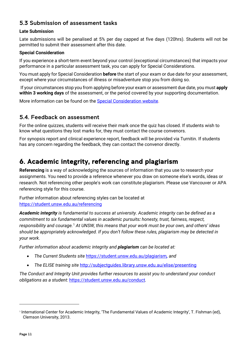### <span id="page-10-0"></span>5.3 Submission of assessment tasks

#### **Late Submission**

Late submissions will be penalised at 5% per day capped at five days (120hrs). Students will not be permitted to submit their assessment after this date.

#### **Special Consideration**

If you experience a short-term event beyond your control (exceptional circumstances) that impacts your performance in a particular assessment task, you can apply for Special Considerations.

You must apply for Special Consideration **before** the start of your exam or due date for your assessment, except where your circumstances of illness or misadventure stop you from doing so.

If your circumstances stop you from applying before your exam or assessment due date, you must **apply within 3 working days** of the assessment, or the period covered by your supporting documentation.

More information can be found on the [Special Consideration website.](https://www.student.unsw.edu.au/special-consideration)

#### <span id="page-10-1"></span>5.4. Feedback on assessment

For the online quizzes, students will receive their mark once the quiz has closed. If students wish to know what questions they lost marks for, they must contact the course convenors.

For synopsis report and clinical experience report, feedback will be provided via Turnitin. If students has any concern regarding the feedback, they can contact the convenor directly.

## <span id="page-10-2"></span>6. Academic integrity, referencing and plagiarism

**Referencing** is a way of acknowledging the sources of information that you use to research your assignments. You need to provide a reference whenever you draw on someone else's words, ideas or research. Not referencing other people's work can constitute plagiarism. Please use Vancouver or APA referencing style for this course.

Further information about referencing styles can be located at <https://student.unsw.edu.au/referencing>

*Academic integrity is fundamental to success at university. Academic integrity can be defined as a commitment to six fundamental values in academic pursuits: honesty, trust, fairness, respect, responsibility and courage.*[1](#page-10-3) *At UNSW, this means that your work must be your own, and others' ideas should be appropriately acknowledged. If you don't follow these rules, plagiarism may be detected in your work.* 

*Further information about academic integrity and plagiarism can be located at:*

- *The Current Students site* <https://student.unsw.edu.au/plagiarism>*, and*
- *The ELISE training site* <http://subjectguides.library.unsw.edu.au/elise/presenting>

*The Conduct and Integrity Unit provides further resources to assist you to understand your conduct obligations as a student:* <https://student.unsw.edu.au/conduct>*.*

<span id="page-10-3"></span><sup>1</sup> International Center for Academic Integrity, 'The Fundamental Values of Academic Integrity', T. Fishman (ed), Clemson University, 2013.